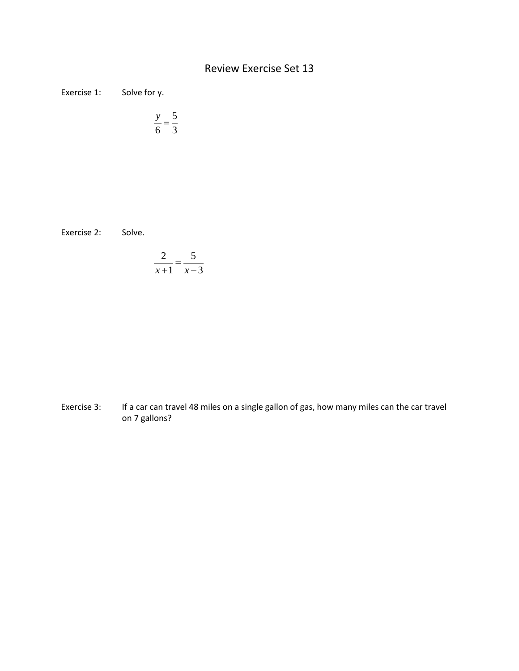## Review Exercise Set 13

Exercise 1: Solve for y.

$$
\frac{y}{6} = \frac{5}{3}
$$

Exercise 2: Solve.

$$
\frac{2}{x+1} = \frac{5}{x-3}
$$

Exercise 3: If a car can travel 48 miles on a single gallon of gas, how many miles can the car travel on 7 gallons?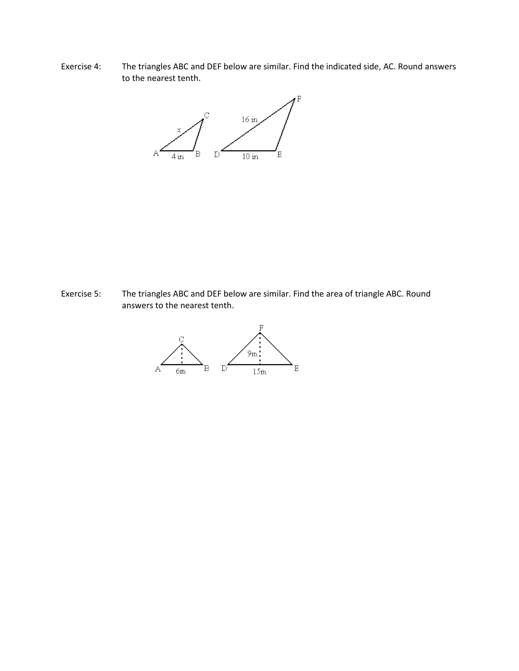Exercise 4: The triangles ABC and DEF below are similar. Find the indicated side, AC. Round answers to the nearest tenth.



Exercise 5: The triangles ABC and DEF below are similar. Find the area of triangle ABC. Round answers to the nearest tenth.

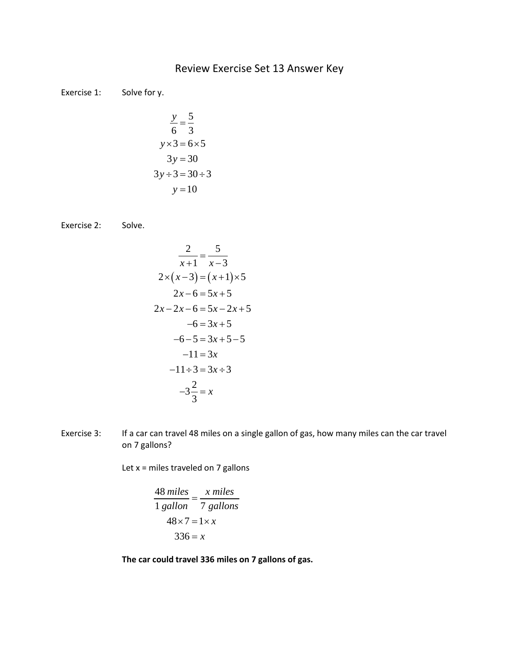## Review Exercise Set 13 Answer Key

Exercise 1: Solve for y.

$$
\frac{y}{6} = \frac{5}{3}
$$
  
y×3 = 6×5  
3y = 30  
3y ÷ 3 = 30 ÷ 3  
y = 10

Exercise 2: Solve.

$$
\frac{2}{x+1} = \frac{5}{x-3}
$$
  
2×(x-3) = (x+1)×5  
2x-6=5x+5  
2x-2x-6=5x-2x+5  
-6=3x+5  
-6-5=3x+5-5  
-11=3x  
-11\div 3 = 3x \div 3  
-3\frac{2}{3} = x

Exercise 3: If a car can travel 48 miles on a single gallon of gas, how many miles can the car travel on 7 gallons?

Let  $x =$  miles traveled on 7 gallons

$$
\frac{48 \text{ miles}}{1 \text{ gallon}} = \frac{x \text{ miles}}{7 \text{ gallons}}
$$

$$
48 \times 7 = 1 \times x
$$

$$
336 = x
$$

**The car could travel 336 miles on 7 gallons of gas.**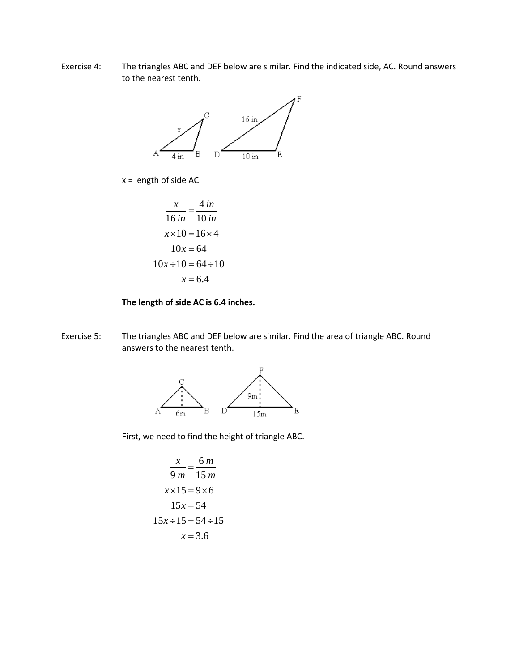Exercise 4: The triangles ABC and DEF below are similar. Find the indicated side, AC. Round answers to the nearest tenth.



x = length of side AC

$$
\frac{x}{16 \text{ in}} = \frac{4 \text{ in}}{10 \text{ in}}
$$

$$
x \times 10 = 16 \times 4
$$

$$
10x = 64
$$

$$
10x \div 10 = 64 \div 10
$$

$$
x = 6.4
$$

## **The length of side AC is 6.4 inches.**

Exercise 5: The triangles ABC and DEF below are similar. Find the area of triangle ABC. Round answers to the nearest tenth.



First, we need to find the height of triangle ABC.

$$
\frac{x}{9 m} = \frac{6 m}{15 m}
$$
  
x×15 = 9×6  
15x = 54  
15x ÷ 15 = 54 ÷ 15  
x = 3.6